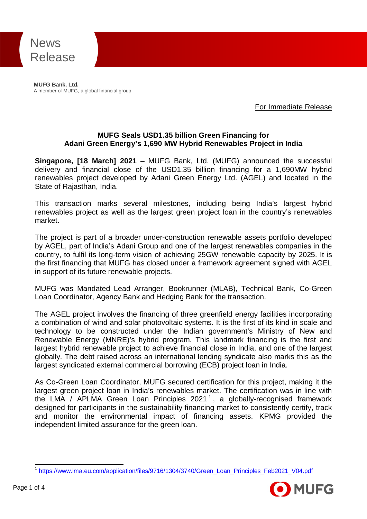

**MUFG Bank, Ltd.** A member of MUFG, a global financial group

For Immediate Release

#### **MUFG Seals USD1.35 billion Green Financing for Adani Green Energy's 1,690 MW Hybrid Renewables Project in India**

**Singapore, [18 March] 2021** – MUFG Bank, Ltd. (MUFG) announced the successful delivery and financial close of the USD1.35 billion financing for a 1,690MW hybrid renewables project developed by Adani Green Energy Ltd. (AGEL) and located in the State of Rajasthan, India.

This transaction marks several milestones, including being India's largest hybrid renewables project as well as the largest green project loan in the country's renewables market.

The project is part of a broader under-construction renewable assets portfolio developed by AGEL, part of India's Adani Group and one of the largest renewables companies in the country, to fulfil its long-term vision of achieving 25GW renewable capacity by 2025. It is the first financing that MUFG has closed under a framework agreement signed with AGEL in support of its future renewable projects.

MUFG was Mandated Lead Arranger, Bookrunner (MLAB), Technical Bank, Co-Green Loan Coordinator, Agency Bank and Hedging Bank for the transaction.

The AGEL project involves the financing of three greenfield energy facilities incorporating a combination of wind and solar photovoltaic systems. It is the first of its kind in scale and technology to be constructed under the Indian government's Ministry of New and Renewable Energy (MNRE)'s hybrid program. This landmark financing is the first and largest hybrid renewable project to achieve financial close in India, and one of the largest globally. The debt raised across an international lending syndicate also marks this as the largest syndicated external commercial borrowing (ECB) project loan in India.

As Co-Green Loan Coordinator, MUFG secured certification for this project, making it the largest green project loan in India's renewables market. The certification was in line with the LMA / APLMA Green Loan Principles  $2021<sup>1</sup>$ , a globally-recognised framework designed for participants in the sustainability financing market to consistently certify, track and monitor the environmental impact of financing assets. KPMG provided the independent limited assurance for the green loan.

<sup>&</sup>lt;sup>1</sup> [https://www.lma.eu.com/application/files/9716/1304/3740/Green\\_Loan\\_Principles\\_Feb2021\\_V04.pdf](https://www.lma.eu.com/application/files/9716/1304/3740/Green_Loan_Principles_Feb2021_V04.pdf)

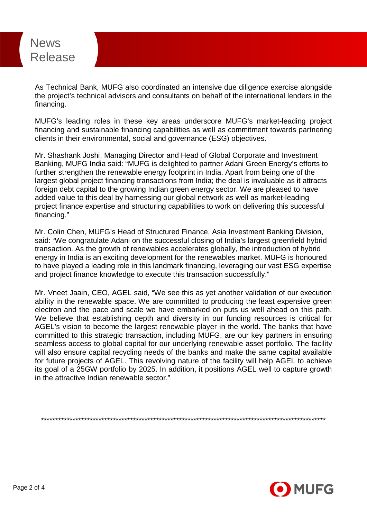# News Release

As Technical Bank, MUFG also coordinated an intensive due diligence exercise alongside the project's technical advisors and consultants on behalf of the international lenders in the financing.

MUFG's leading roles in these key areas underscore MUFG's market-leading project financing and sustainable financing capabilities as well as commitment towards partnering clients in their environmental, social and governance (ESG) objectives.

Mr. Shashank Joshi, Managing Director and Head of Global Corporate and Investment Banking, MUFG India said: "MUFG is delighted to partner Adani Green Energy's efforts to further strengthen the renewable energy footprint in India. Apart from being one of the largest global project financing transactions from India; the deal is invaluable as it attracts foreign debt capital to the growing Indian green energy sector. We are pleased to have added value to this deal by harnessing our global network as well as market-leading project finance expertise and structuring capabilities to work on delivering this successful financing."

Mr. Colin Chen, MUFG's Head of Structured Finance, Asia Investment Banking Division, said: "We congratulate Adani on the successful closing of India's largest greenfield hybrid transaction. As the growth of renewables accelerates globally, the introduction of hybrid energy in India is an exciting development for the renewables market. MUFG is honoured to have played a leading role in this landmark financing, leveraging our vast ESG expertise and project finance knowledge to execute this transaction successfully."

Mr. Vneet Jaain, CEO, AGEL said, "We see this as yet another validation of our execution ability in the renewable space. We are committed to producing the least expensive green electron and the pace and scale we have embarked on puts us well ahead on this path. We believe that establishing depth and diversity in our funding resources is critical for AGEL's vision to become the largest renewable player in the world. The banks that have committed to this strategic transaction, including MUFG, are our key partners in ensuring seamless access to global capital for our underlying renewable asset portfolio. The facility will also ensure capital recycling needs of the banks and make the same capital available for future projects of AGEL. This revolving nature of the facility will help AGEL to achieve its goal of a 25GW portfolio by 2025. In addition, it positions AGEL well to capture growth in the attractive Indian renewable sector."

\*\*\*\*\*\*\*\*\*\*\*\*\*\*\*\*\*\*\*\*\*\*\*\*\*\*\*\*\*\*\*\*\*\*\*\*\*\*\*\*\*\*\*\*\*\*\*\*\*\*\*\*\*\*\*\*\*\*\*\*\*\*\*\*\*\*\*\*\*\*\*\*\*\*\*\*\*\*\*\*\*\*\*\*\*\*\*\*\*\*\*\*\*\*\*\*\*\*\*

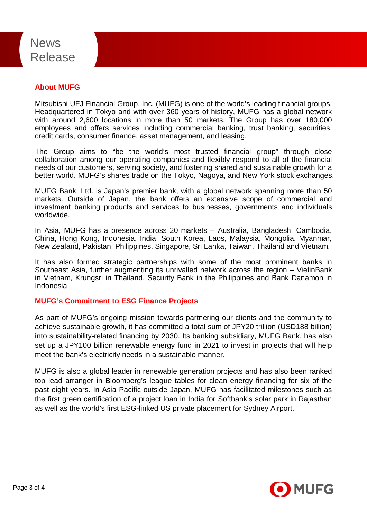## News Release

### **About MUFG**

Mitsubishi UFJ Financial Group, Inc. (MUFG) is one of the world's leading financial groups. Headquartered in Tokyo and with over 360 years of history, MUFG has a global network with around 2,600 locations in more than 50 markets. The Group has over 180,000 employees and offers services including commercial banking, trust banking, securities, credit cards, consumer finance, asset management, and leasing.

The Group aims to "be the world's most trusted financial group" through close collaboration among our operating companies and flexibly respond to all of the financial needs of our customers, serving society, and fostering shared and sustainable growth for a better world. MUFG's shares trade on the Tokyo, Nagoya, and New York stock exchanges.

MUFG Bank, Ltd. is Japan's premier bank, with a global network spanning more than 50 markets. Outside of Japan, the bank offers an extensive scope of commercial and investment banking products and services to businesses, governments and individuals worldwide.

In Asia, MUFG has a presence across 20 markets – Australia, Bangladesh, Cambodia, China, Hong Kong, Indonesia, India, South Korea, Laos, Malaysia, Mongolia, Myanmar, New Zealand, Pakistan, Philippines, Singapore, Sri Lanka, Taiwan, Thailand and Vietnam.

It has also formed strategic partnerships with some of the most prominent banks in Southeast Asia, further augmenting its unrivalled network across the region – VietinBank in Vietnam, Krungsri in Thailand, Security Bank in the Philippines and Bank Danamon in Indonesia.

#### **MUFG's Commitment to ESG Finance Projects**

As part of MUFG's ongoing mission towards partnering our clients and the community to achieve sustainable growth, it has committed a total sum of JPY20 trillion (USD188 billion) into sustainability-related financing by 2030. Its banking subsidiary, MUFG Bank, has also set up a JPY100 billion renewable energy fund in 2021 to invest in projects that will help meet the bank's electricity needs in a sustainable manner.

MUFG is also a global leader in renewable generation projects and has also been ranked top lead arranger in Bloomberg's league tables for clean energy financing for six of the past eight years. In Asia Pacific outside Japan, MUFG has facilitated milestones such as the first green certification of a project loan in India for Softbank's solar park in Rajasthan as well as the world's first ESG-linked US private placement for Sydney Airport.